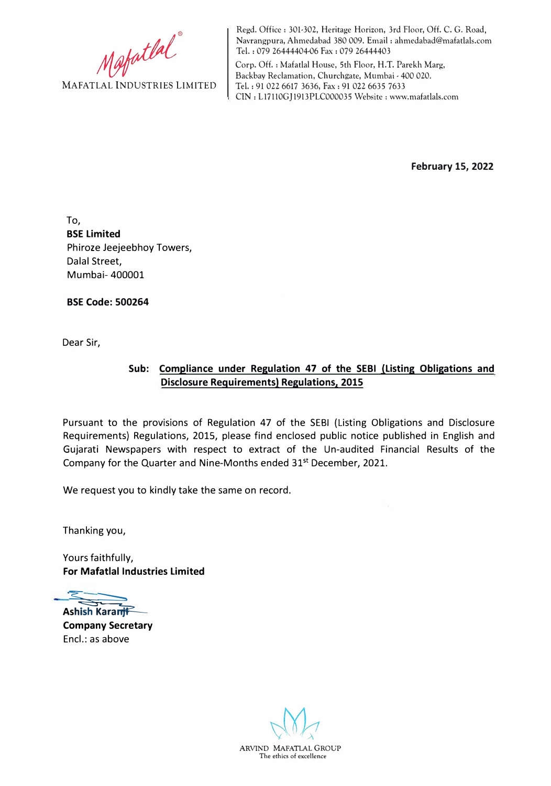Mafatlal

Regd. Office: 301-302, Heritage Horizon, 3rd Floor, Off. C. G. Road, Navrangpura, Ahmedabad 380 009. Email : ahmedabad@mafatlals.com Tel. : 079 26444404-06 Fax : 079 26444403

Corp. Off. : Mafatlal House, 5th Floor, H.T. Parekh Marg, Backbay Reclamation, Churchgate, Mumbai - 400 020. Tel. : 91 022 6617 3636, Fax: 91 022 6635 7633 CIN: L17110GJ1913PLC000035 Website: www.mafatlals.com

**February 15, 2022** 

To, **BSE Limited**  Phiroze Jeejeebhoy Towers, Dalal Street, Mumbai- 400001

**BSE Code: 500264** 

Dear Sir,

## **Sub: Compliance under Regulation 47 of the SEBI (Listing Obligations and Disclosure Requirements) Regulations, 2015**

Pursuant to the provisions of Regulation 47 of the SEBI (Listing Obligations and Disclosure Requirements) Regulations, 2015, please find enclosed public notice published in English and Gujarati Newspapers with respect to extract of the Un-audited Financial Results of the Company for the Quarter and Nine-Months ended 31<sup>st</sup> December, 2021.

We request you to kindly take the same on record.

Thanking you,

Yours faithfully, **For Mafatlal Industries Limited** 

�  $\rightleftharpoons$ 

Ashish KaranjF **Company Secretary**  Encl.: as above

ARVIND MAFATLAL GROUP The ethics of excellence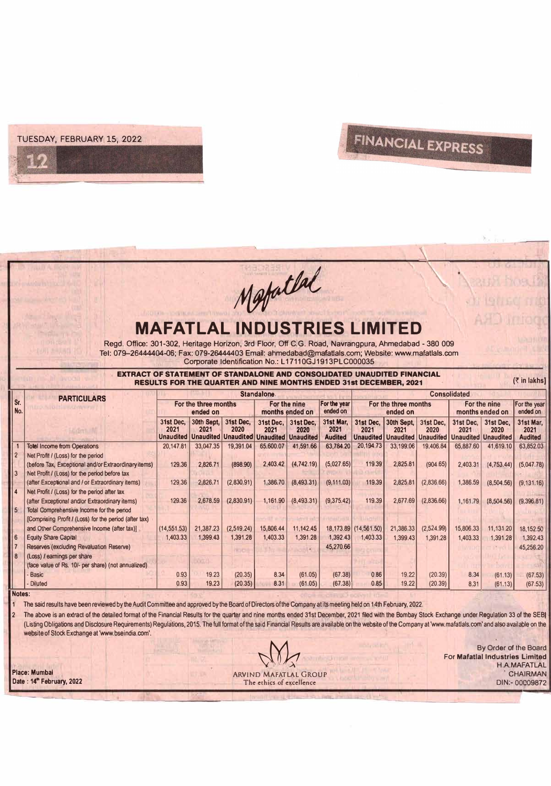

## FINANCIAL EXPRESS

|                                                                                                                                      |                                                                                                                                                                                                                                                                                             |                                    |                                                                     |                        | Metatlal                                            |                                       |                                     |                                   |                                                                |                        |                                                 |                            |                                     |
|--------------------------------------------------------------------------------------------------------------------------------------|---------------------------------------------------------------------------------------------------------------------------------------------------------------------------------------------------------------------------------------------------------------------------------------------|------------------------------------|---------------------------------------------------------------------|------------------------|-----------------------------------------------------|---------------------------------------|-------------------------------------|-----------------------------------|----------------------------------------------------------------|------------------------|-------------------------------------------------|----------------------------|-------------------------------------|
|                                                                                                                                      | Regd. Office: 301-302, Heritage Horizon, 3rd Floor, Off C.G. Road, Navrangpura, Ahmedabad - 380 009<br>Tel: 079-26444404-06; Fax: 079-26444403 Email: ahmedabad@mafatlals.com; Website: www.mafatlals.com<br><b>EXTRACT OF STATEMENT OF STANDALONE AND CONSOLIDATED UNAUDITED FINANCIAL</b> | <b>MAFATLAL INDUSTRIES LIMITED</b> |                                                                     |                        | Corporate Identification No.: L17110GJ1913PLC000035 |                                       |                                     |                                   |                                                                |                        |                                                 |                            |                                     |
| (₹ in lakhs)<br><b>RESULTS FOR THE QUARTER AND NINE MONTHS ENDED 31st DECEMBER. 2021</b><br><b>Consolidated</b><br><b>Standalone</b> |                                                                                                                                                                                                                                                                                             |                                    |                                                                     |                        |                                                     |                                       |                                     |                                   |                                                                |                        |                                                 |                            |                                     |
| Sr.<br>No.                                                                                                                           | <b>PARTICULARS</b>                                                                                                                                                                                                                                                                          | For the three months<br>ended on   |                                                                     |                        | For the nine<br>ended on<br>months ended on         |                                       | For the year                        | For the three months<br>ended on  |                                                                |                        | For the nine<br>months ended on                 |                            | For the year<br>ended on            |
|                                                                                                                                      |                                                                                                                                                                                                                                                                                             | 31st Dec.<br>2021                  | 30th Sept.<br>2021<br>Unaudited   Unaudited   Unaudited   Unaudited | 31st Dec,<br>2020      | 31st Dec.<br>2021                                   | 31st Dec,<br>2020<br><b>Unaudited</b> | 31st Mar.<br>2021<br><b>Audited</b> | 31st Dec.<br>2021                 | 30th Sept.<br>2021<br><b>Unaudited   Unaudited   Unaudited</b> | 31st Dec.<br>2020      | 31st Dec.<br>2021<br><b>Unaudited Unaudited</b> | 31st Dec.<br>2020          | 31st Mar.<br>2021<br><b>Audited</b> |
| $\overline{\mathbf{1}}$<br>$\overline{2}$                                                                                            | <b>Totel Income from Operations</b><br>Net Profit / (Loss) for the period                                                                                                                                                                                                                   | 20,147.81                          | 33,047.35                                                           | 19,391.04              | 65,600.07                                           | 41.591.66                             | 63,784.20                           | 20.194.73                         | 33,199.06                                                      | 19,406.84              | 65,887.60                                       | 41,619.10                  | 63,852.03                           |
| $\overline{3}$                                                                                                                       | (before Tax, Exceptional and/or Extraordinary items)<br>Net Profit / (Loss) for the period before tax<br>(after Exceptional and / or Extraordinary items)                                                                                                                                   | 129.36<br>129.36                   | 2,826.71<br>2.826.71                                                | (898.90)<br>(2,830.91) | 2,403.42<br>1.386.70                                | (4,742.19)<br>(8,493.31)              | (5,027.65)<br>(9, 111.03)           | 119.39<br>119.39                  | 2,825.81<br>2,825.81                                           | (904.65)<br>(2,836.66) | 2,403.31<br>1,386.59                            | (4, 753, 44)<br>(8,504.56) | (5,047.78)<br>(9, 131.16)           |
| $\overline{\mathbf{4}}$<br>5 <sup>5</sup>                                                                                            | Net Profit / (Loss) for the period after tax<br>(after Exceptional and/or Extraordinary items)<br>Total Comprehensive Income for the period                                                                                                                                                 | 129.36                             | 2,678.59                                                            | (2,830.91)             | 1,161.90                                            | (8,493.31)                            | (9,375.42)                          | 119.39                            | 2.677.69                                                       | (2,836.66)             | 1,161.79                                        | (8,504.56)                 | (9,396.81)                          |
| $6\phantom{a}$                                                                                                                       | [Comprising Profit / (Loss) for the period (after tax)<br>and Other Comprehensive Income (after tax)]<br><b>Equity Share Capital</b>                                                                                                                                                        | (14, 551.53)<br>1,403.33           | 21,387.23<br>1.399.43                                               | (2,519.24)<br>1,391.28 | 15,806.44<br>1,403.33                               | 11,142.45<br>1,391.28                 | 1,392.43                            | 18,173.89 (14,561.50)<br>1.403.33 | 21,386.33<br>1,399.43                                          | (2,524.99)<br>1,391.28 | 15,806.33<br>1,403.33                           | 11,131.20<br>1.391.28      | 18,152.50<br>1.392.43               |
| $\overline{7}$<br>8                                                                                                                  | Reserves (excluding Revaluation Reserve)<br>(Loss) / earnings per share                                                                                                                                                                                                                     |                                    | 1.501                                                               | <b>HIVO</b>            |                                                     | m.                                    | 45,270.66                           |                                   |                                                                |                        |                                                 |                            | 45,256.20                           |
|                                                                                                                                      | (face value of Rs. 10/- per share) (not annualized)<br>Basic<br><b>Diluted</b>                                                                                                                                                                                                              | 0.93<br>0.93                       | 19.23<br>19.23                                                      | (20.35)<br>(20.35)     | 8.34<br>8.31                                        | (61.05)<br>(61.05)                    | (67.38)<br>(67.38)                  | 0.86<br>0.85                      | 19.22<br>19.22                                                 | (20.39)<br>(20.39)     | 8.34<br>8.31                                    | (61.13)<br>(61.13)         | (67.53)<br>(67.53)                  |
| Notes:                                                                                                                               | The said results have been reviewed by the Audit Committee and approved by the Board of Directors of the Company at its meeting held on 14th February, 2022.                                                                                                                                |                                    |                                                                     |                        |                                                     |                                       |                                     |                                   |                                                                |                        |                                                 |                            |                                     |

2 The above is an extract of the detailed format of the Financial Results for the quarter and nine months ended 31st December, 2021 filed with the Bombay Stock Exchange under Regulation 33 of the SEBI (Listing Obligations and Disclosure Requirements) Regulations, 2015. The full format of the said Financial Results are available 00 the website of the Company at 'Www.mafaUals.com' and also available on the website of Stock Exchange at 'www.bseindia.com'.

**Place: Mumbai ARVIND MAFATLAL GROUP <b>Place: Mumbai ARVIND MAFATLAL GROUP**<br> **Date : 14<sup>th</sup> February, 2022** The ethics of excellence The ethics of excellence The ethics of excellence<br>
The ethics of excellence<br>
The ethics of excellence<br>
The ethics of excellence<br>
The ethics of excellence<br>  $\frac{1}{2}$ 

By Order of the Board<br>For Mafatlal Industries Limited<br>H.A.MAFATLAL For **Mafatlal Industries** Limited H.A.MAFATLAL<br>CHAIRMAN<br>DIN:- 00009872